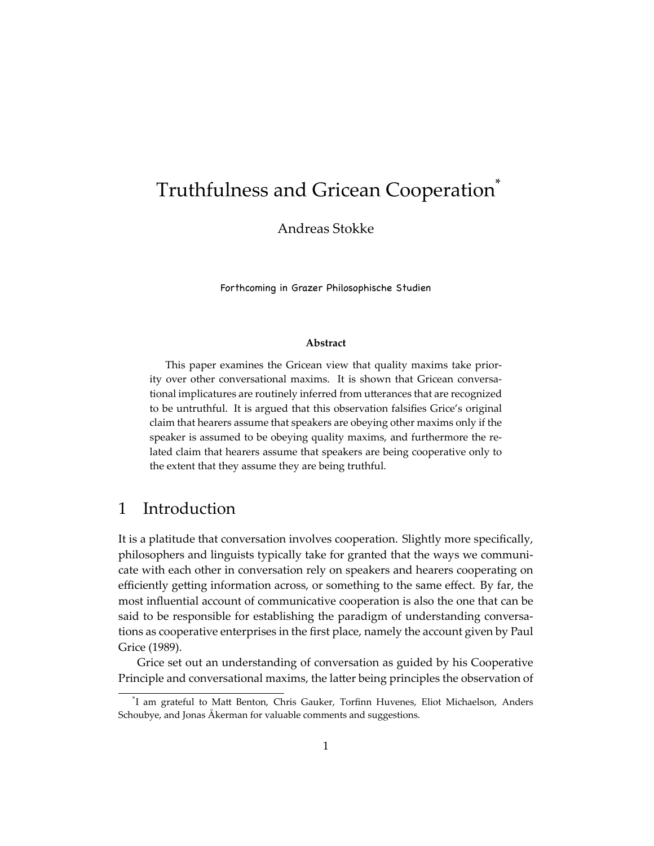# Truthfulness and Gricean Cooperation<sup>\*</sup>

Andreas Stokke

Forthcoming in Grazer Philosophische Studien

#### **Abstract**

This paper examines the Gricean view that quality maxims take priority over other conversational maxims. It is shown that Gricean conversational implicatures are routinely inferred from utterances that are recognized to be untruthful. It is argued that this observation falsifies Grice's original claim that hearers assume that speakers are obeying other maxims only if the speaker is assumed to be obeying quality maxims, and furthermore the related claim that hearers assume that speakers are being cooperative only to the extent that they assume they are being truthful.

## 1 Introduction

It is a platitude that conversation involves cooperation. Slightly more specifically, philosophers and linguists typically take for granted that the ways we communicate with each other in conversation rely on speakers and hearers cooperating on efficiently getting information across, or something to the same effect. By far, the most influential account of communicative cooperation is also the one that can be said to be responsible for establishing the paradigm of understanding conversations as cooperative enterprises in the first place, namely the account given by Paul Grice (1989).

Grice set out an understanding of conversation as guided by his Cooperative Principle and conversational maxims, the latter being principles the observation of

 $^*$ I am grateful to Matt Benton, Chris Gauker, Torfinn Huvenes, Eliot Michaelson, Anders Schoubye, and Jonas Åkerman for valuable comments and suggestions.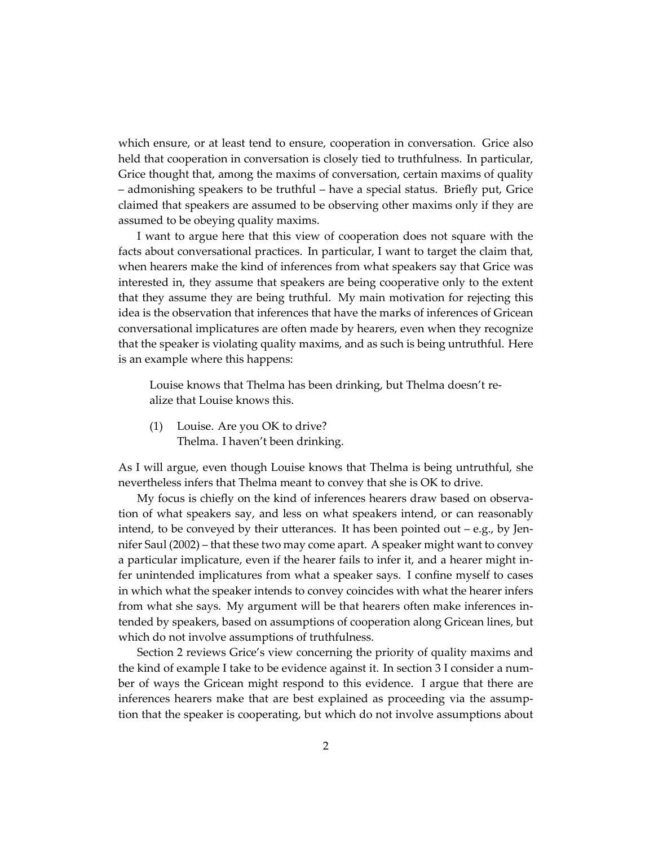which ensure, or at least tend to ensure, cooperation in conversation. Grice also held that cooperation in conversation is closely tied to truthfulness. In particular, Grice thought that, among the maxims of conversation, certain maxims of quality – admonishing speakers to be truthful – have a special status. Briefly put, Grice claimed that speakers are assumed to be observing other maxims only if they are assumed to be obeying quality maxims.

I want to argue here that this view of cooperation does not square with the facts about conversational practices. In particular, I want to target the claim that, when hearers make the kind of inferences from what speakers say that Grice was interested in, they assume that speakers are being cooperative only to the extent that they assume they are being truthful. My main motivation for rejecting this idea is the observation that inferences that have the marks of inferences of Gricean conversational implicatures are often made by hearers, even when they recognize that the speaker is violating quality maxims, and as such is being untruthful. Here is an example where this happens:

Louise knows that Thelma has been drinking, but Thelma doesn't realize that Louise knows this.

(1) Louise. Are you OK to drive? Thelma. I haven't been drinking.

As I will argue, even though Louise knows that Thelma is being untruthful, she nevertheless infers that Thelma meant to convey that she is OK to drive.

My focus is chiefly on the kind of inferences hearers draw based on observation of what speakers say, and less on what speakers intend, or can reasonably intend, to be conveyed by their utterances. It has been pointed out – e.g., by Jennifer Saul (2002) – that these two may come apart. A speaker might want to convey a particular implicature, even if the hearer fails to infer it, and a hearer might infer unintended implicatures from what a speaker says. I confine myself to cases in which what the speaker intends to convey coincides with what the hearer infers from what she says. My argument will be that hearers often make inferences intended by speakers, based on assumptions of cooperation along Gricean lines, but which do not involve assumptions of truthfulness.

Section 2 reviews Grice's view concerning the priority of quality maxims and the kind of example I take to be evidence against it. In section 3 I consider a number of ways the Gricean might respond to this evidence. I argue that there are inferences hearers make that are best explained as proceeding via the assumption that the speaker is cooperating, but which do not involve assumptions about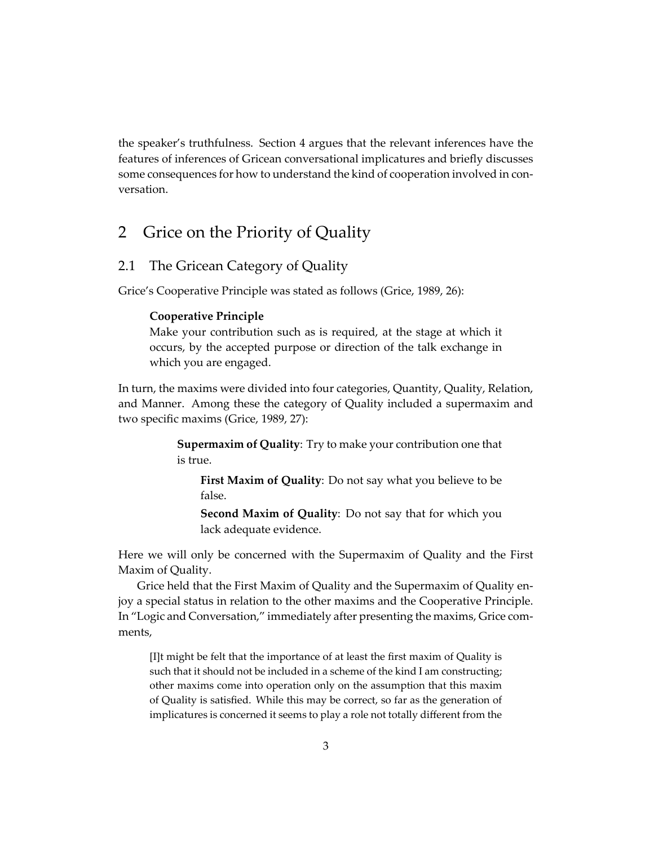the speaker's truthfulness. Section 4 argues that the relevant inferences have the features of inferences of Gricean conversational implicatures and briefly discusses some consequences for how to understand the kind of cooperation involved in conversation.

# 2 Grice on the Priority of Quality

### 2.1 The Gricean Category of Quality

Grice's Cooperative Principle was stated as follows (Grice, 1989, 26):

#### **Cooperative Principle**

Make your contribution such as is required, at the stage at which it occurs, by the accepted purpose or direction of the talk exchange in which you are engaged.

In turn, the maxims were divided into four categories, Quantity, Quality, Relation, and Manner. Among these the category of Quality included a supermaxim and two specific maxims (Grice, 1989, 27):

> **Supermaxim of Quality**: Try to make your contribution one that is true.

**First Maxim of Quality**: Do not say what you believe to be false.

**Second Maxim of Quality**: Do not say that for which you lack adequate evidence.

Here we will only be concerned with the Supermaxim of Quality and the First Maxim of Quality.

Grice held that the First Maxim of Quality and the Supermaxim of Quality enjoy a special status in relation to the other maxims and the Cooperative Principle. In "Logic and Conversation," immediately after presenting the maxims, Grice comments,

[I]t might be felt that the importance of at least the first maxim of Quality is such that it should not be included in a scheme of the kind I am constructing; other maxims come into operation only on the assumption that this maxim of Quality is satisfied. While this may be correct, so far as the generation of implicatures is concerned it seems to play a role not totally different from the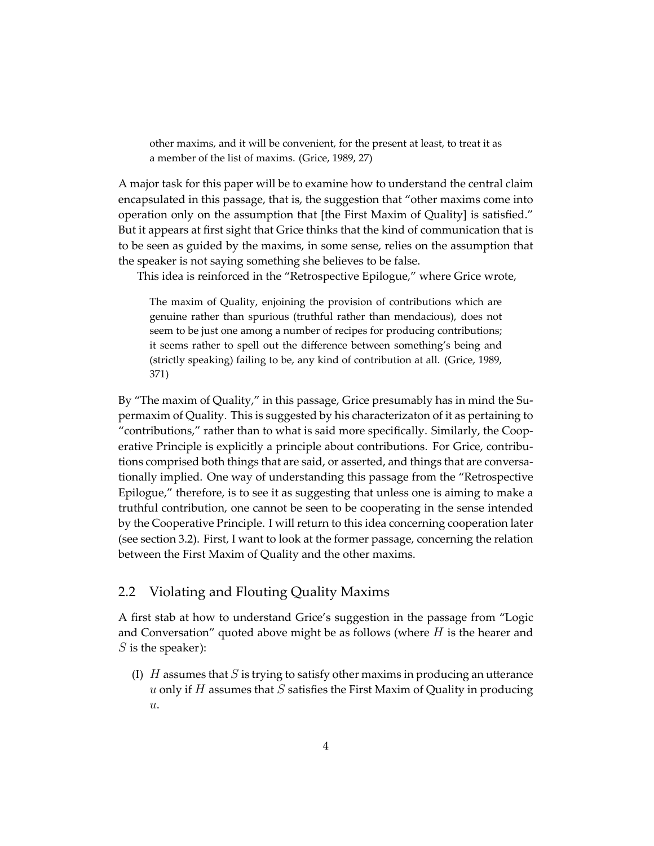other maxims, and it will be convenient, for the present at least, to treat it as a member of the list of maxims. (Grice, 1989, 27)

A major task for this paper will be to examine how to understand the central claim encapsulated in this passage, that is, the suggestion that "other maxims come into operation only on the assumption that [the First Maxim of Quality] is satisfied." But it appears at first sight that Grice thinks that the kind of communication that is to be seen as guided by the maxims, in some sense, relies on the assumption that the speaker is not saying something she believes to be false.

This idea is reinforced in the "Retrospective Epilogue," where Grice wrote,

The maxim of Quality, enjoining the provision of contributions which are genuine rather than spurious (truthful rather than mendacious), does not seem to be just one among a number of recipes for producing contributions; it seems rather to spell out the difference between something's being and (strictly speaking) failing to be, any kind of contribution at all. (Grice, 1989, 371)

By "The maxim of Quality," in this passage, Grice presumably has in mind the Supermaxim of Quality. This is suggested by his characterizaton of it as pertaining to "contributions," rather than to what is said more specifically. Similarly, the Cooperative Principle is explicitly a principle about contributions. For Grice, contributions comprised both things that are said, or asserted, and things that are conversationally implied. One way of understanding this passage from the "Retrospective Epilogue," therefore, is to see it as suggesting that unless one is aiming to make a truthful contribution, one cannot be seen to be cooperating in the sense intended by the Cooperative Principle. I will return to this idea concerning cooperation later (see section 3.2). First, I want to look at the former passage, concerning the relation between the First Maxim of Quality and the other maxims.

### 2.2 Violating and Flouting Quality Maxims

A first stab at how to understand Grice's suggestion in the passage from "Logic and Conversation" quoted above might be as follows (where *H* is the hearer and *S* is the speaker):

(I)  $H$  assumes that  $S$  is trying to satisfy other maxims in producing an utterance *u* only if *H* assumes that *S* satisfies the First Maxim of Quality in producing *u*.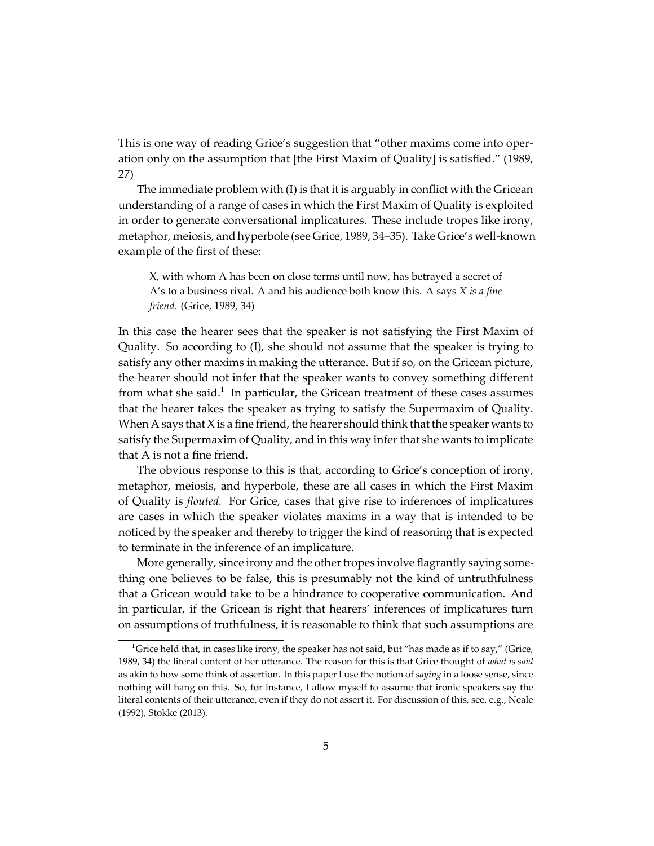This is one way of reading Grice's suggestion that "other maxims come into operation only on the assumption that [the First Maxim of Quality] is satisfied." (1989, 27)

The immediate problem with (I) is that it is arguably in conflict with the Gricean understanding of a range of cases in which the First Maxim of Quality is exploited in order to generate conversational implicatures. These include tropes like irony, metaphor, meiosis, and hyperbole (see Grice, 1989, 34–35). Take Grice's well-known example of the first of these:

X, with whom A has been on close terms until now, has betrayed a secret of A's to a business rival. A and his audience both know this. A says *X is a fine friend*. (Grice, 1989, 34)

In this case the hearer sees that the speaker is not satisfying the First Maxim of Quality. So according to (I), she should not assume that the speaker is trying to satisfy any other maxims in making the utterance. But if so, on the Gricean picture, the hearer should not infer that the speaker wants to convey something different from what she said.<sup>1</sup> In particular, the Gricean treatment of these cases assumes that the hearer takes the speaker as trying to satisfy the Supermaxim of Quality. When A says that  $X$  is a fine friend, the hearer should think that the speaker wants to satisfy the Supermaxim of Quality, and in this way infer that she wants to implicate that A is not a fine friend.

The obvious response to this is that, according to Grice's conception of irony, metaphor, meiosis, and hyperbole, these are all cases in which the First Maxim of Quality is *flouted.* For Grice, cases that give rise to inferences of implicatures are cases in which the speaker violates maxims in a way that is intended to be noticed by the speaker and thereby to trigger the kind of reasoning that is expected to terminate in the inference of an implicature.

More generally, since irony and the other tropes involve flagrantly saying something one believes to be false, this is presumably not the kind of untruthfulness that a Gricean would take to be a hindrance to cooperative communication. And in particular, if the Gricean is right that hearers' inferences of implicatures turn on assumptions of truthfulness, it is reasonable to think that such assumptions are

<sup>&</sup>lt;sup>1</sup>Grice held that, in cases like irony, the speaker has not said, but "has made as if to say," (Grice, 1989, 34) the literal content of her utterance. The reason for this is that Grice thought of *what is said* as akin to how some think of assertion. In this paper I use the notion of *saying* in a loose sense, since nothing will hang on this. So, for instance, I allow myself to assume that ironic speakers say the literal contents of their utterance, even if they do not assert it. For discussion of this, see, e.g., Neale (1992), Stokke (2013).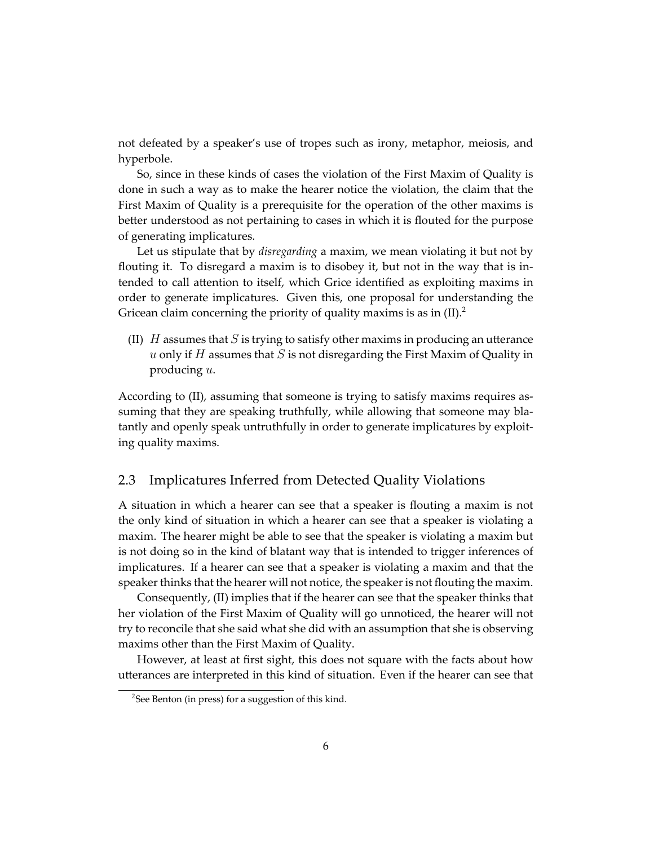not defeated by a speaker's use of tropes such as irony, metaphor, meiosis, and hyperbole.

So, since in these kinds of cases the violation of the First Maxim of Quality is done in such a way as to make the hearer notice the violation, the claim that the First Maxim of Quality is a prerequisite for the operation of the other maxims is better understood as not pertaining to cases in which it is flouted for the purpose of generating implicatures.

Let us stipulate that by *disregarding* a maxim, we mean violating it but not by flouting it. To disregard a maxim is to disobey it, but not in the way that is intended to call attention to itself, which Grice identified as exploiting maxims in order to generate implicatures. Given this, one proposal for understanding the Gricean claim concerning the priority of quality maxims is as in  $(II)$ .<sup>2</sup>

(II)  $H$  assumes that  $S$  is trying to satisfy other maxims in producing an utterance *u* only if *H* assumes that *S* is not disregarding the First Maxim of Quality in producing *u*.

According to (II), assuming that someone is trying to satisfy maxims requires assuming that they are speaking truthfully, while allowing that someone may blatantly and openly speak untruthfully in order to generate implicatures by exploiting quality maxims.

### 2.3 Implicatures Inferred from Detected Quality Violations

A situation in which a hearer can see that a speaker is flouting a maxim is not the only kind of situation in which a hearer can see that a speaker is violating a maxim. The hearer might be able to see that the speaker is violating a maxim but is not doing so in the kind of blatant way that is intended to trigger inferences of implicatures. If a hearer can see that a speaker is violating a maxim and that the speaker thinks that the hearer will not notice, the speaker is not flouting the maxim.

Consequently, (II) implies that if the hearer can see that the speaker thinks that her violation of the First Maxim of Quality will go unnoticed, the hearer will not try to reconcile that she said what she did with an assumption that she is observing maxims other than the First Maxim of Quality.

However, at least at first sight, this does not square with the facts about how utterances are interpreted in this kind of situation. Even if the hearer can see that

 $2$ See Benton (in press) for a suggestion of this kind.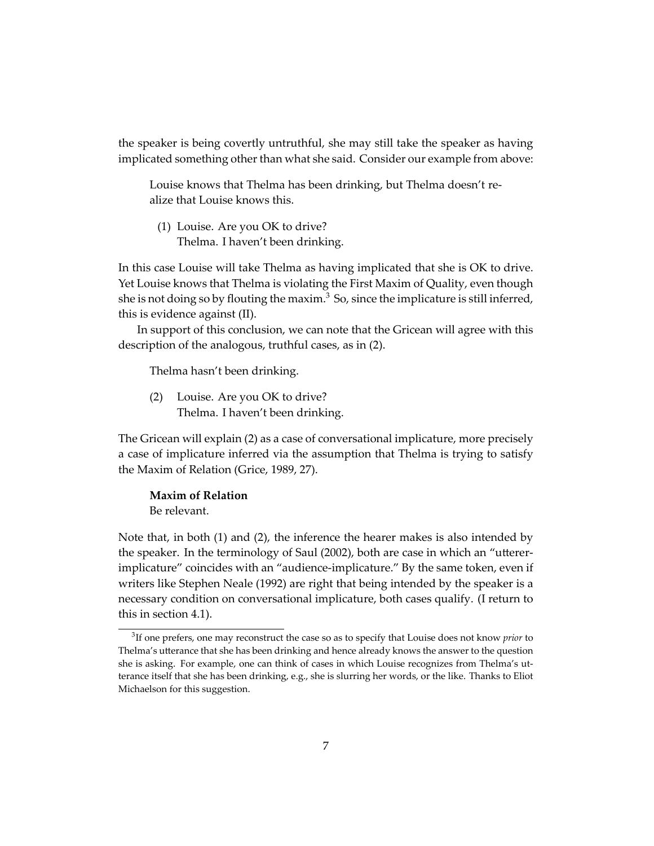the speaker is being covertly untruthful, she may still take the speaker as having implicated something other than what she said. Consider our example from above:

Louise knows that Thelma has been drinking, but Thelma doesn't realize that Louise knows this.

(1) Louise. Are you OK to drive? Thelma. I haven't been drinking.

In this case Louise will take Thelma as having implicated that she is OK to drive. Yet Louise knows that Thelma is violating the First Maxim of Quality, even though she is not doing so by flouting the maxim. $^3$  So, since the implicature is still inferred, this is evidence against (II).

In support of this conclusion, we can note that the Gricean will agree with this description of the analogous, truthful cases, as in (2).

Thelma hasn't been drinking.

(2) Louise. Are you OK to drive? Thelma. I haven't been drinking.

The Gricean will explain (2) as a case of conversational implicature, more precisely a case of implicature inferred via the assumption that Thelma is trying to satisfy the Maxim of Relation (Grice, 1989, 27).

#### **Maxim of Relation**

Be relevant.

Note that, in both (1) and (2), the inference the hearer makes is also intended by the speaker. In the terminology of Saul (2002), both are case in which an "uttererimplicature" coincides with an "audience-implicature." By the same token, even if writers like Stephen Neale (1992) are right that being intended by the speaker is a necessary condition on conversational implicature, both cases qualify. (I return to this in section 4.1).

<sup>3</sup> If one prefers, one may reconstruct the case so as to specify that Louise does not know *prior* to Thelma's utterance that she has been drinking and hence already knows the answer to the question she is asking. For example, one can think of cases in which Louise recognizes from Thelma's utterance itself that she has been drinking, e.g., she is slurring her words, or the like. Thanks to Eliot Michaelson for this suggestion.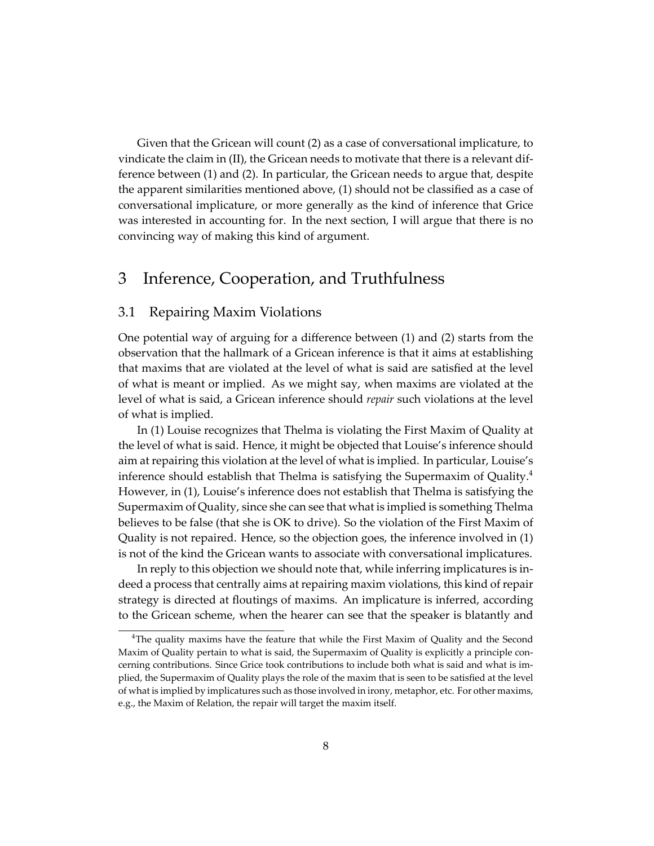Given that the Gricean will count (2) as a case of conversational implicature, to vindicate the claim in (II), the Gricean needs to motivate that there is a relevant difference between (1) and (2). In particular, the Gricean needs to argue that, despite the apparent similarities mentioned above, (1) should not be classified as a case of conversational implicature, or more generally as the kind of inference that Grice was interested in accounting for. In the next section, I will argue that there is no convincing way of making this kind of argument.

# 3 Inference, Cooperation, and Truthfulness

### 3.1 Repairing Maxim Violations

One potential way of arguing for a difference between (1) and (2) starts from the observation that the hallmark of a Gricean inference is that it aims at establishing that maxims that are violated at the level of what is said are satisfied at the level of what is meant or implied. As we might say, when maxims are violated at the level of what is said, a Gricean inference should *repair* such violations at the level of what is implied.

In (1) Louise recognizes that Thelma is violating the First Maxim of Quality at the level of what is said. Hence, it might be objected that Louise's inference should aim at repairing this violation at the level of what is implied. In particular, Louise's inference should establish that Thelma is satisfying the Supermaxim of Quality. $4$ However, in (1), Louise's inference does not establish that Thelma is satisfying the Supermaxim of Quality, since she can see that what is implied is something Thelma believes to be false (that she is OK to drive). So the violation of the First Maxim of Quality is not repaired. Hence, so the objection goes, the inference involved in (1) is not of the kind the Gricean wants to associate with conversational implicatures.

In reply to this objection we should note that, while inferring implicatures is indeed a process that centrally aims at repairing maxim violations, this kind of repair strategy is directed at floutings of maxims. An implicature is inferred, according to the Gricean scheme, when the hearer can see that the speaker is blatantly and

<sup>&</sup>lt;sup>4</sup>The quality maxims have the feature that while the First Maxim of Quality and the Second Maxim of Quality pertain to what is said, the Supermaxim of Quality is explicitly a principle concerning contributions. Since Grice took contributions to include both what is said and what is implied, the Supermaxim of Quality plays the role of the maxim that is seen to be satisfied at the level of what is implied by implicatures such as those involved in irony, metaphor, etc. For other maxims, e.g., the Maxim of Relation, the repair will target the maxim itself.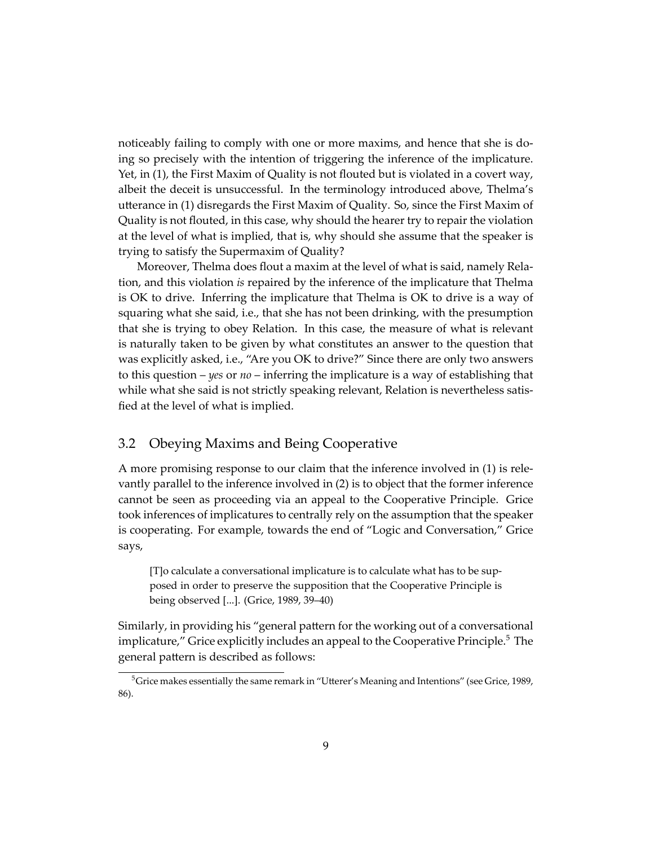noticeably failing to comply with one or more maxims, and hence that she is doing so precisely with the intention of triggering the inference of the implicature. Yet, in (1), the First Maxim of Quality is not flouted but is violated in a covert way, albeit the deceit is unsuccessful. In the terminology introduced above, Thelma's utterance in (1) disregards the First Maxim of Quality. So, since the First Maxim of Quality is not flouted, in this case, why should the hearer try to repair the violation at the level of what is implied, that is, why should she assume that the speaker is trying to satisfy the Supermaxim of Quality?

Moreover, Thelma does flout a maxim at the level of what is said, namely Relation, and this violation *is* repaired by the inference of the implicature that Thelma is OK to drive. Inferring the implicature that Thelma is OK to drive is a way of squaring what she said, i.e., that she has not been drinking, with the presumption that she is trying to obey Relation. In this case, the measure of what is relevant is naturally taken to be given by what constitutes an answer to the question that was explicitly asked, i.e., "Are you OK to drive?" Since there are only two answers to this question – *yes* or *no* – inferring the implicature is a way of establishing that while what she said is not strictly speaking relevant, Relation is nevertheless satisfied at the level of what is implied.

### 3.2 Obeying Maxims and Being Cooperative

A more promising response to our claim that the inference involved in (1) is relevantly parallel to the inference involved in (2) is to object that the former inference cannot be seen as proceeding via an appeal to the Cooperative Principle. Grice took inferences of implicatures to centrally rely on the assumption that the speaker is cooperating. For example, towards the end of "Logic and Conversation," Grice says,

[T]o calculate a conversational implicature is to calculate what has to be supposed in order to preserve the supposition that the Cooperative Principle is being observed [...]. (Grice, 1989, 39–40)

Similarly, in providing his "general pattern for the working out of a conversational implicature," Grice explicitly includes an appeal to the Cooperative Principle.<sup>5</sup> The general pattern is described as follows:

<sup>&</sup>lt;sup>5</sup>Grice makes essentially the same remark in "Utterer's Meaning and Intentions" (see Grice, 1989, 86).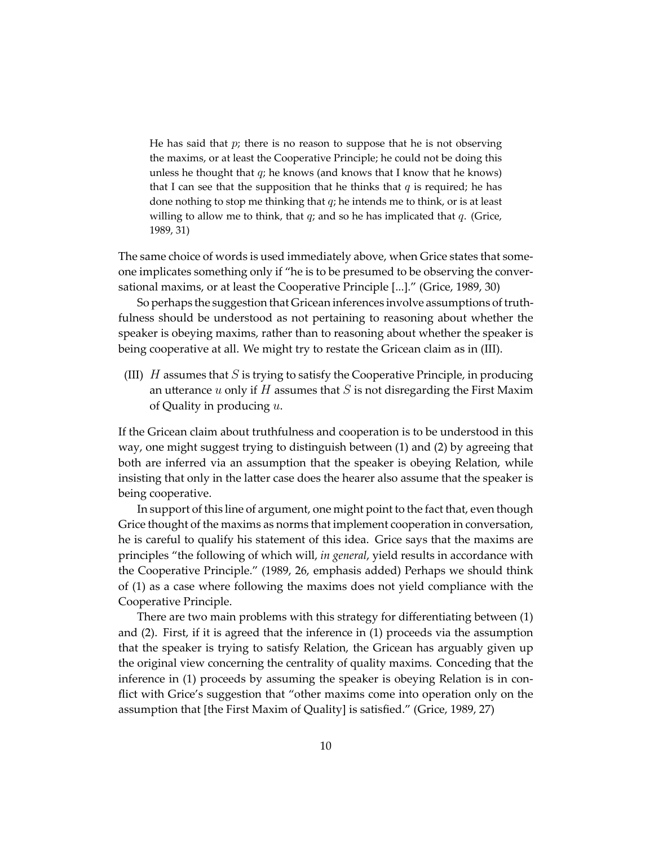He has said that *p*; there is no reason to suppose that he is not observing the maxims, or at least the Cooperative Principle; he could not be doing this unless he thought that *q*; he knows (and knows that I know that he knows) that I can see that the supposition that he thinks that  $q$  is required; he has done nothing to stop me thinking that *q*; he intends me to think, or is at least willing to allow me to think, that *q*; and so he has implicated that *q*. (Grice, 1989, 31)

The same choice of words is used immediately above, when Grice states that someone implicates something only if "he is to be presumed to be observing the conversational maxims, or at least the Cooperative Principle [...]." (Grice, 1989, 30)

So perhaps the suggestion that Gricean inferences involve assumptions of truthfulness should be understood as not pertaining to reasoning about whether the speaker is obeying maxims, rather than to reasoning about whether the speaker is being cooperative at all. We might try to restate the Gricean claim as in (III).

(III) *H* assumes that *S* is trying to satisfy the Cooperative Principle, in producing an utterance *u* only if *H* assumes that *S* is not disregarding the First Maxim of Quality in producing *u*.

If the Gricean claim about truthfulness and cooperation is to be understood in this way, one might suggest trying to distinguish between (1) and (2) by agreeing that both are inferred via an assumption that the speaker is obeying Relation, while insisting that only in the latter case does the hearer also assume that the speaker is being cooperative.

In support of this line of argument, one might point to the fact that, even though Grice thought of the maxims as norms that implement cooperation in conversation, he is careful to qualify his statement of this idea. Grice says that the maxims are principles "the following of which will, *in general*, yield results in accordance with the Cooperative Principle." (1989, 26, emphasis added) Perhaps we should think of (1) as a case where following the maxims does not yield compliance with the Cooperative Principle.

There are two main problems with this strategy for differentiating between (1) and (2). First, if it is agreed that the inference in (1) proceeds via the assumption that the speaker is trying to satisfy Relation, the Gricean has arguably given up the original view concerning the centrality of quality maxims. Conceding that the inference in (1) proceeds by assuming the speaker is obeying Relation is in conflict with Grice's suggestion that "other maxims come into operation only on the assumption that [the First Maxim of Quality] is satisfied." (Grice, 1989, 27)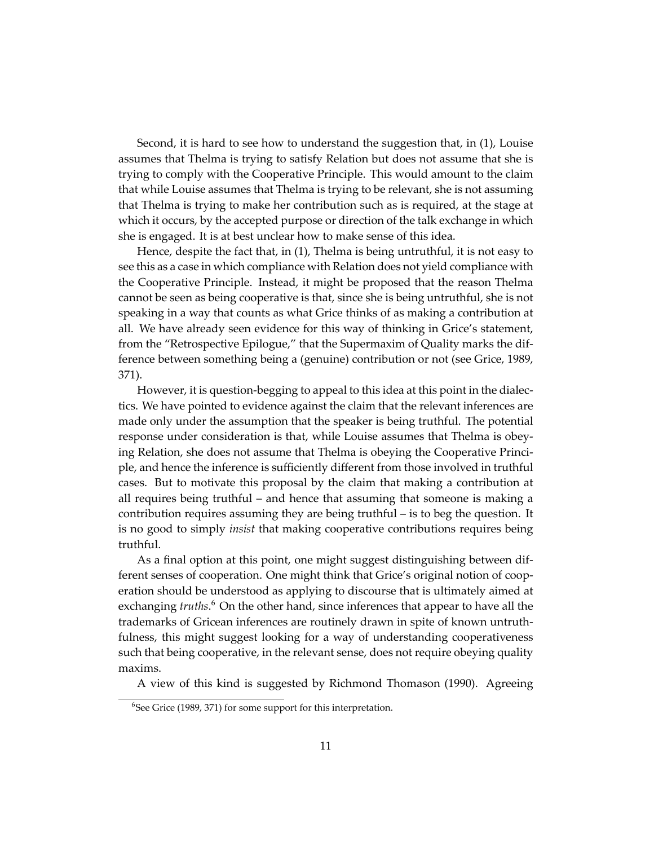Second, it is hard to see how to understand the suggestion that, in (1), Louise assumes that Thelma is trying to satisfy Relation but does not assume that she is trying to comply with the Cooperative Principle. This would amount to the claim that while Louise assumes that Thelma is trying to be relevant, she is not assuming that Thelma is trying to make her contribution such as is required, at the stage at which it occurs, by the accepted purpose or direction of the talk exchange in which she is engaged. It is at best unclear how to make sense of this idea.

Hence, despite the fact that, in (1), Thelma is being untruthful, it is not easy to see this as a case in which compliance with Relation does not yield compliance with the Cooperative Principle. Instead, it might be proposed that the reason Thelma cannot be seen as being cooperative is that, since she is being untruthful, she is not speaking in a way that counts as what Grice thinks of as making a contribution at all. We have already seen evidence for this way of thinking in Grice's statement, from the "Retrospective Epilogue," that the Supermaxim of Quality marks the difference between something being a (genuine) contribution or not (see Grice, 1989, 371).

However, it is question-begging to appeal to this idea at this point in the dialectics. We have pointed to evidence against the claim that the relevant inferences are made only under the assumption that the speaker is being truthful. The potential response under consideration is that, while Louise assumes that Thelma is obeying Relation, she does not assume that Thelma is obeying the Cooperative Principle, and hence the inference is sufficiently different from those involved in truthful cases. But to motivate this proposal by the claim that making a contribution at all requires being truthful – and hence that assuming that someone is making a contribution requires assuming they are being truthful – is to beg the question. It is no good to simply *insist* that making cooperative contributions requires being truthful.

As a final option at this point, one might suggest distinguishing between different senses of cooperation. One might think that Grice's original notion of cooperation should be understood as applying to discourse that is ultimately aimed at exchanging *truths*. <sup>6</sup> On the other hand, since inferences that appear to have all the trademarks of Gricean inferences are routinely drawn in spite of known untruthfulness, this might suggest looking for a way of understanding cooperativeness such that being cooperative, in the relevant sense, does not require obeying quality maxims.

A view of this kind is suggested by Richmond Thomason (1990). Agreeing

<sup>&</sup>lt;sup>6</sup>See Grice (1989, 371) for some support for this interpretation.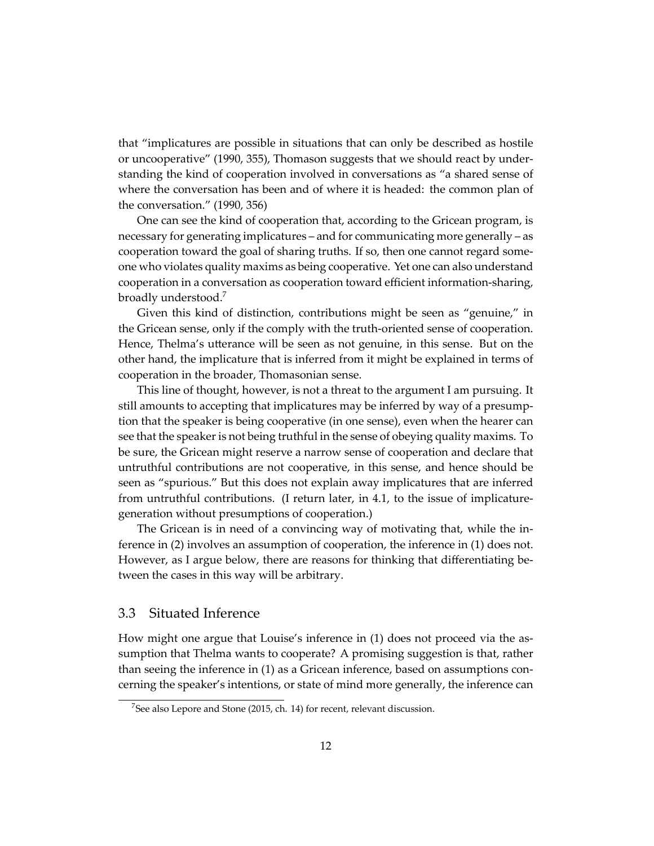that "implicatures are possible in situations that can only be described as hostile or uncooperative" (1990, 355), Thomason suggests that we should react by understanding the kind of cooperation involved in conversations as "a shared sense of where the conversation has been and of where it is headed: the common plan of the conversation." (1990, 356)

One can see the kind of cooperation that, according to the Gricean program, is necessary for generating implicatures – and for communicating more generally – as cooperation toward the goal of sharing truths. If so, then one cannot regard someone who violates quality maxims as being cooperative. Yet one can also understand cooperation in a conversation as cooperation toward efficient information-sharing, broadly understood.<sup>7</sup>

Given this kind of distinction, contributions might be seen as "genuine," in the Gricean sense, only if the comply with the truth-oriented sense of cooperation. Hence, Thelma's utterance will be seen as not genuine, in this sense. But on the other hand, the implicature that is inferred from it might be explained in terms of cooperation in the broader, Thomasonian sense.

This line of thought, however, is not a threat to the argument I am pursuing. It still amounts to accepting that implicatures may be inferred by way of a presumption that the speaker is being cooperative (in one sense), even when the hearer can see that the speaker is not being truthful in the sense of obeying quality maxims. To be sure, the Gricean might reserve a narrow sense of cooperation and declare that untruthful contributions are not cooperative, in this sense, and hence should be seen as "spurious." But this does not explain away implicatures that are inferred from untruthful contributions. (I return later, in 4.1, to the issue of implicaturegeneration without presumptions of cooperation.)

The Gricean is in need of a convincing way of motivating that, while the inference in (2) involves an assumption of cooperation, the inference in (1) does not. However, as I argue below, there are reasons for thinking that differentiating between the cases in this way will be arbitrary.

### 3.3 Situated Inference

How might one argue that Louise's inference in (1) does not proceed via the assumption that Thelma wants to cooperate? A promising suggestion is that, rather than seeing the inference in (1) as a Gricean inference, based on assumptions concerning the speaker's intentions, or state of mind more generally, the inference can

 $7$ See also Lepore and Stone (2015, ch. 14) for recent, relevant discussion.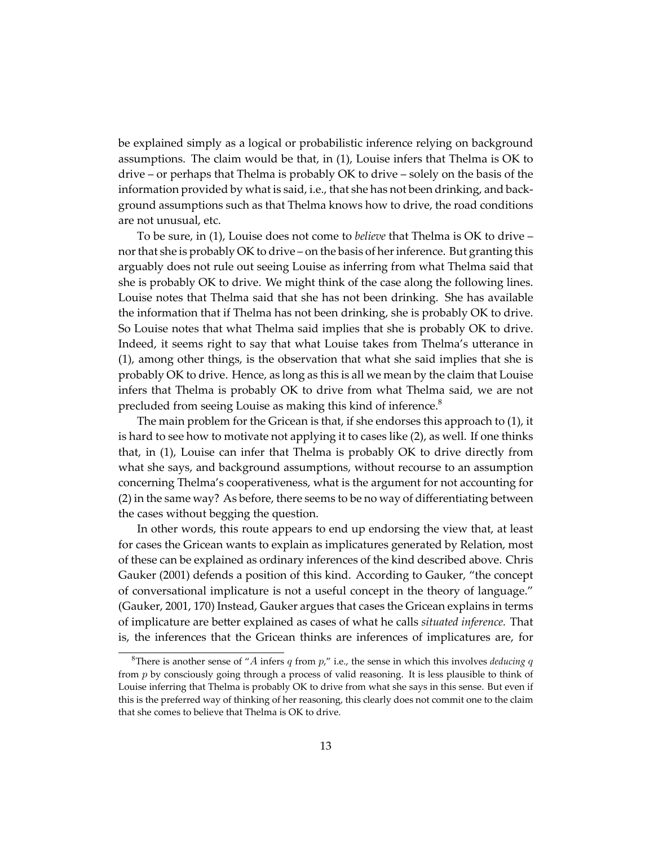be explained simply as a logical or probabilistic inference relying on background assumptions. The claim would be that, in (1), Louise infers that Thelma is OK to drive – or perhaps that Thelma is probably OK to drive – solely on the basis of the information provided by what is said, i.e., that she has not been drinking, and background assumptions such as that Thelma knows how to drive, the road conditions are not unusual, etc.

To be sure, in (1), Louise does not come to *believe* that Thelma is OK to drive – nor that she is probably OK to drive – on the basis of her inference. But granting this arguably does not rule out seeing Louise as inferring from what Thelma said that she is probably OK to drive. We might think of the case along the following lines. Louise notes that Thelma said that she has not been drinking. She has available the information that if Thelma has not been drinking, she is probably OK to drive. So Louise notes that what Thelma said implies that she is probably OK to drive. Indeed, it seems right to say that what Louise takes from Thelma's utterance in (1), among other things, is the observation that what she said implies that she is probably OK to drive. Hence, as long as this is all we mean by the claim that Louise infers that Thelma is probably OK to drive from what Thelma said, we are not precluded from seeing Louise as making this kind of inference.<sup>8</sup>

The main problem for the Gricean is that, if she endorses this approach to (1), it is hard to see how to motivate not applying it to cases like (2), as well. If one thinks that, in (1), Louise can infer that Thelma is probably OK to drive directly from what she says, and background assumptions, without recourse to an assumption concerning Thelma's cooperativeness, what is the argument for not accounting for (2) in the same way? As before, there seems to be no way of differentiating between the cases without begging the question.

In other words, this route appears to end up endorsing the view that, at least for cases the Gricean wants to explain as implicatures generated by Relation, most of these can be explained as ordinary inferences of the kind described above. Chris Gauker (2001) defends a position of this kind. According to Gauker, "the concept of conversational implicature is not a useful concept in the theory of language." (Gauker, 2001, 170) Instead, Gauker argues that cases the Gricean explains in terms of implicature are better explained as cases of what he calls *situated inference*. That is, the inferences that the Gricean thinks are inferences of implicatures are, for

<sup>&</sup>lt;sup>8</sup>There is another sense of "A infers  $q$  from  $p$ ," i.e., the sense in which this involves *deducing*  $q$ from *p* by consciously going through a process of valid reasoning. It is less plausible to think of Louise inferring that Thelma is probably OK to drive from what she says in this sense. But even if this is the preferred way of thinking of her reasoning, this clearly does not commit one to the claim that she comes to believe that Thelma is OK to drive.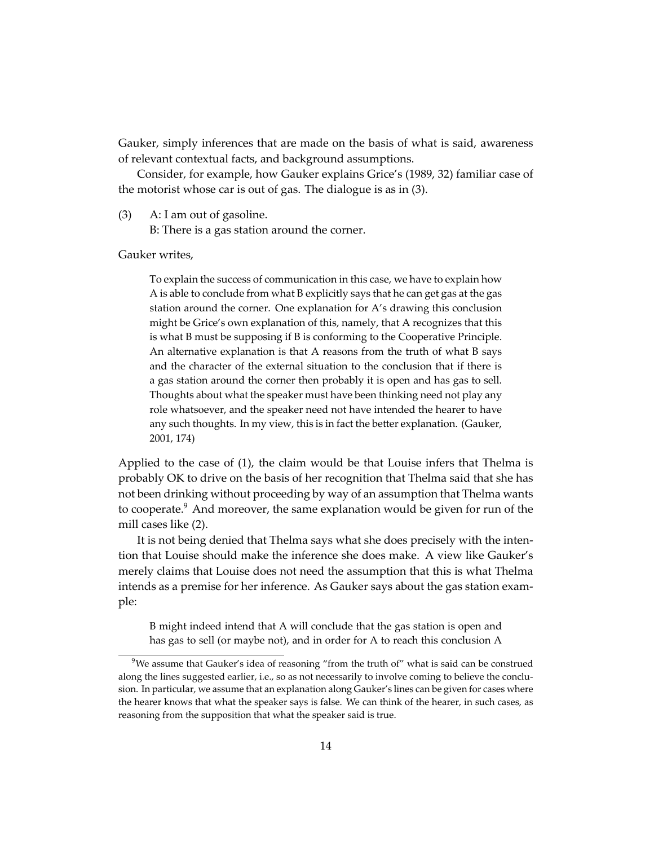Gauker, simply inferences that are made on the basis of what is said, awareness of relevant contextual facts, and background assumptions.

Consider, for example, how Gauker explains Grice's (1989, 32) familiar case of the motorist whose car is out of gas. The dialogue is as in (3).

(3) A: I am out of gasoline.

B: There is a gas station around the corner.

Gauker writes,

To explain the success of communication in this case, we have to explain how A is able to conclude from what B explicitly says that he can get gas at the gas station around the corner. One explanation for A's drawing this conclusion might be Grice's own explanation of this, namely, that A recognizes that this is what B must be supposing if B is conforming to the Cooperative Principle. An alternative explanation is that A reasons from the truth of what B says and the character of the external situation to the conclusion that if there is a gas station around the corner then probably it is open and has gas to sell. Thoughts about what the speaker must have been thinking need not play any role whatsoever, and the speaker need not have intended the hearer to have any such thoughts. In my view, this is in fact the better explanation. (Gauker, 2001, 174)

Applied to the case of (1), the claim would be that Louise infers that Thelma is probably OK to drive on the basis of her recognition that Thelma said that she has not been drinking without proceeding by way of an assumption that Thelma wants to cooperate.<sup>9</sup> And moreover, the same explanation would be given for run of the mill cases like (2).

It is not being denied that Thelma says what she does precisely with the intention that Louise should make the inference she does make. A view like Gauker's merely claims that Louise does not need the assumption that this is what Thelma intends as a premise for her inference. As Gauker says about the gas station example:

B might indeed intend that A will conclude that the gas station is open and has gas to sell (or maybe not), and in order for A to reach this conclusion A

 $9$ We assume that Gauker's idea of reasoning "from the truth of" what is said can be construed along the lines suggested earlier, i.e., so as not necessarily to involve coming to believe the conclusion. In particular, we assume that an explanation along Gauker's lines can be given for cases where the hearer knows that what the speaker says is false. We can think of the hearer, in such cases, as reasoning from the supposition that what the speaker said is true.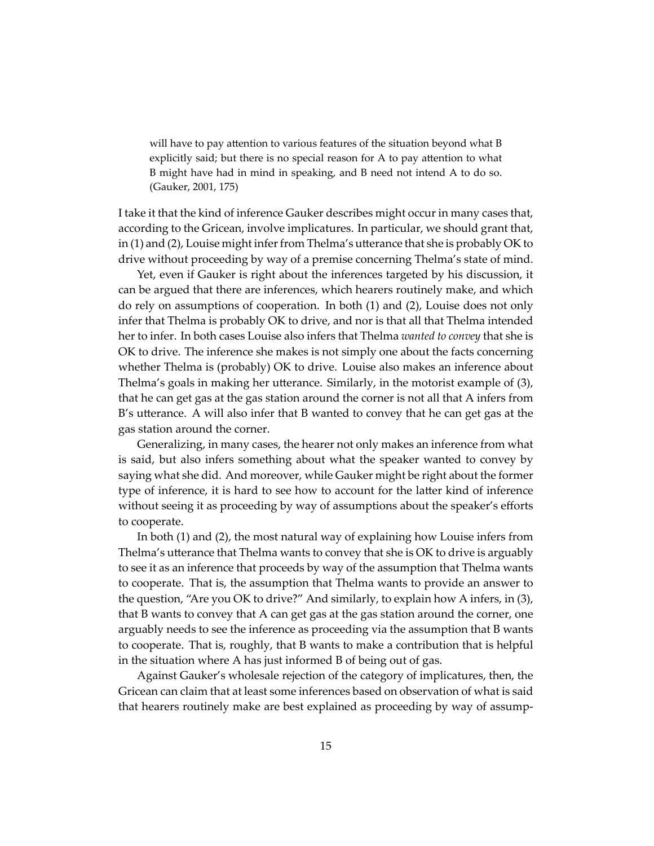will have to pay attention to various features of the situation beyond what B explicitly said; but there is no special reason for A to pay attention to what B might have had in mind in speaking, and B need not intend A to do so. (Gauker, 2001, 175)

I take it that the kind of inference Gauker describes might occur in many cases that, according to the Gricean, involve implicatures. In particular, we should grant that, in  $(1)$  and  $(2)$ , Louise might infer from Thelma's utterance that she is probably OK to drive without proceeding by way of a premise concerning Thelma's state of mind.

Yet, even if Gauker is right about the inferences targeted by his discussion, it can be argued that there are inferences, which hearers routinely make, and which do rely on assumptions of cooperation. In both (1) and (2), Louise does not only infer that Thelma is probably OK to drive, and nor is that all that Thelma intended her to infer. In both cases Louise also infers that Thelma *wanted to convey* that she is OK to drive. The inference she makes is not simply one about the facts concerning whether Thelma is (probably) OK to drive. Louise also makes an inference about Thelma's goals in making her utterance. Similarly, in the motorist example of  $(3)$ , that he can get gas at the gas station around the corner is not all that A infers from B's utterance. A will also infer that B wanted to convey that he can get gas at the gas station around the corner.

Generalizing, in many cases, the hearer not only makes an inference from what is said, but also infers something about what the speaker wanted to convey by saying what she did. And moreover, while Gauker might be right about the former type of inference, it is hard to see how to account for the latter kind of inference without seeing it as proceeding by way of assumptions about the speaker's efforts to cooperate.

In both (1) and (2), the most natural way of explaining how Louise infers from Thelma's utterance that Thelma wants to convey that she is OK to drive is arguably to see it as an inference that proceeds by way of the assumption that Thelma wants to cooperate. That is, the assumption that Thelma wants to provide an answer to the question, "Are you OK to drive?" And similarly, to explain how A infers, in (3), that B wants to convey that A can get gas at the gas station around the corner, one arguably needs to see the inference as proceeding via the assumption that B wants to cooperate. That is, roughly, that B wants to make a contribution that is helpful in the situation where A has just informed B of being out of gas.

Against Gauker's wholesale rejection of the category of implicatures, then, the Gricean can claim that at least some inferences based on observation of what is said that hearers routinely make are best explained as proceeding by way of assump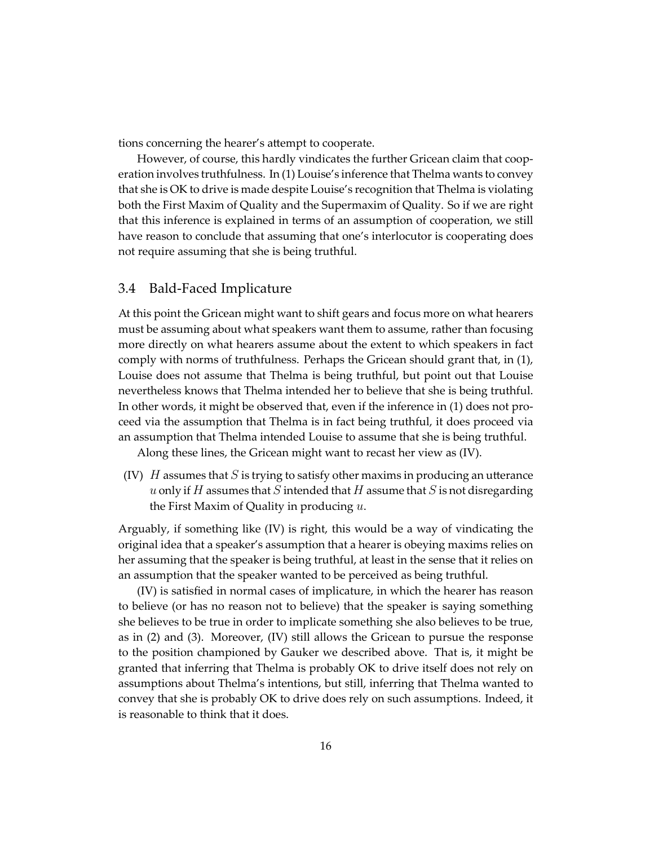tions concerning the hearer's attempt to cooperate.

However, of course, this hardly vindicates the further Gricean claim that cooperation involves truthfulness. In (1) Louise's inference that Thelma wants to convey that she is OK to drive is made despite Louise's recognition that Thelma is violating both the First Maxim of Quality and the Supermaxim of Quality. So if we are right that this inference is explained in terms of an assumption of cooperation, we still have reason to conclude that assuming that one's interlocutor is cooperating does not require assuming that she is being truthful.

### 3.4 Bald-Faced Implicature

At this point the Gricean might want to shift gears and focus more on what hearers must be assuming about what speakers want them to assume, rather than focusing more directly on what hearers assume about the extent to which speakers in fact comply with norms of truthfulness. Perhaps the Gricean should grant that, in (1), Louise does not assume that Thelma is being truthful, but point out that Louise nevertheless knows that Thelma intended her to believe that she is being truthful. In other words, it might be observed that, even if the inference in (1) does not proceed via the assumption that Thelma is in fact being truthful, it does proceed via an assumption that Thelma intended Louise to assume that she is being truthful.

Along these lines, the Gricean might want to recast her view as (IV).

(IV)  $H$  assumes that  $S$  is trying to satisfy other maxims in producing an utterance *u* only if *H* assumes that *S* intended that *H* assume that *S* is not disregarding the First Maxim of Quality in producing *u*.

Arguably, if something like (IV) is right, this would be a way of vindicating the original idea that a speaker's assumption that a hearer is obeying maxims relies on her assuming that the speaker is being truthful, at least in the sense that it relies on an assumption that the speaker wanted to be perceived as being truthful.

(IV) is satisfied in normal cases of implicature, in which the hearer has reason to believe (or has no reason not to believe) that the speaker is saying something she believes to be true in order to implicate something she also believes to be true, as in (2) and (3). Moreover, (IV) still allows the Gricean to pursue the response to the position championed by Gauker we described above. That is, it might be granted that inferring that Thelma is probably OK to drive itself does not rely on assumptions about Thelma's intentions, but still, inferring that Thelma wanted to convey that she is probably OK to drive does rely on such assumptions. Indeed, it is reasonable to think that it does.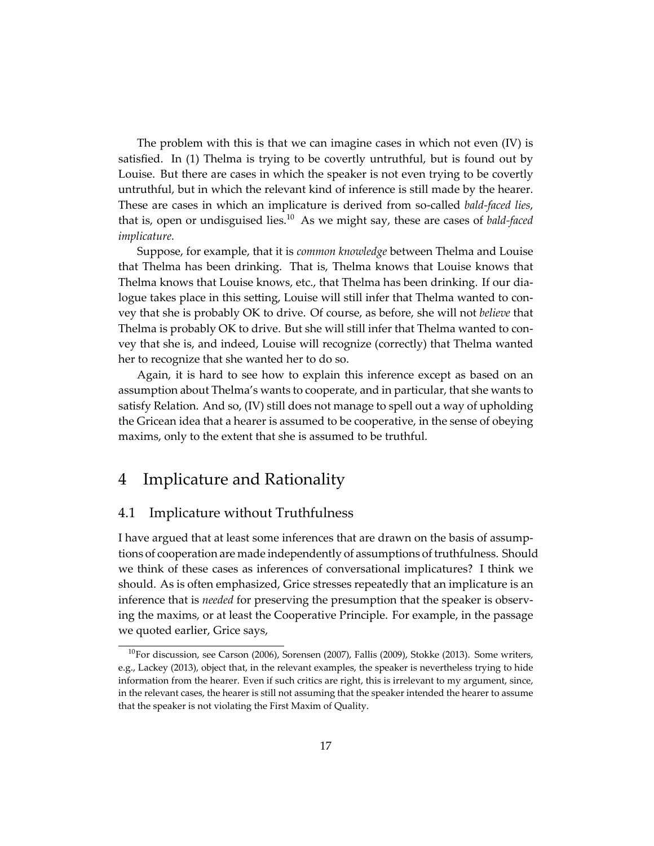The problem with this is that we can imagine cases in which not even (IV) is satisfied. In (1) Thelma is trying to be covertly untruthful, but is found out by Louise. But there are cases in which the speaker is not even trying to be covertly untruthful, but in which the relevant kind of inference is still made by the hearer. These are cases in which an implicature is derived from so-called *bald-faced lies*, that is, open or undisguised lies.<sup>10</sup> As we might say, these are cases of *bald-faced implicature.*

Suppose, for example, that it is *common knowledge* between Thelma and Louise that Thelma has been drinking. That is, Thelma knows that Louise knows that Thelma knows that Louise knows, etc., that Thelma has been drinking. If our dialogue takes place in this setting, Louise will still infer that Thelma wanted to convey that she is probably OK to drive. Of course, as before, she will not *believe* that Thelma is probably OK to drive. But she will still infer that Thelma wanted to convey that she is, and indeed, Louise will recognize (correctly) that Thelma wanted her to recognize that she wanted her to do so.

Again, it is hard to see how to explain this inference except as based on an assumption about Thelma's wants to cooperate, and in particular, that she wants to satisfy Relation. And so, (IV) still does not manage to spell out a way of upholding the Gricean idea that a hearer is assumed to be cooperative, in the sense of obeying maxims, only to the extent that she is assumed to be truthful.

# 4 Implicature and Rationality

### 4.1 Implicature without Truthfulness

I have argued that at least some inferences that are drawn on the basis of assumptions of cooperation are made independently of assumptions of truthfulness. Should we think of these cases as inferences of conversational implicatures? I think we should. As is often emphasized, Grice stresses repeatedly that an implicature is an inference that is *needed* for preserving the presumption that the speaker is observing the maxims, or at least the Cooperative Principle. For example, in the passage we quoted earlier, Grice says,

 $^{10}$ For discussion, see Carson (2006), Sorensen (2007), Fallis (2009), Stokke (2013). Some writers, e.g., Lackey (2013), object that, in the relevant examples, the speaker is nevertheless trying to hide information from the hearer. Even if such critics are right, this is irrelevant to my argument, since, in the relevant cases, the hearer is still not assuming that the speaker intended the hearer to assume that the speaker is not violating the First Maxim of Quality.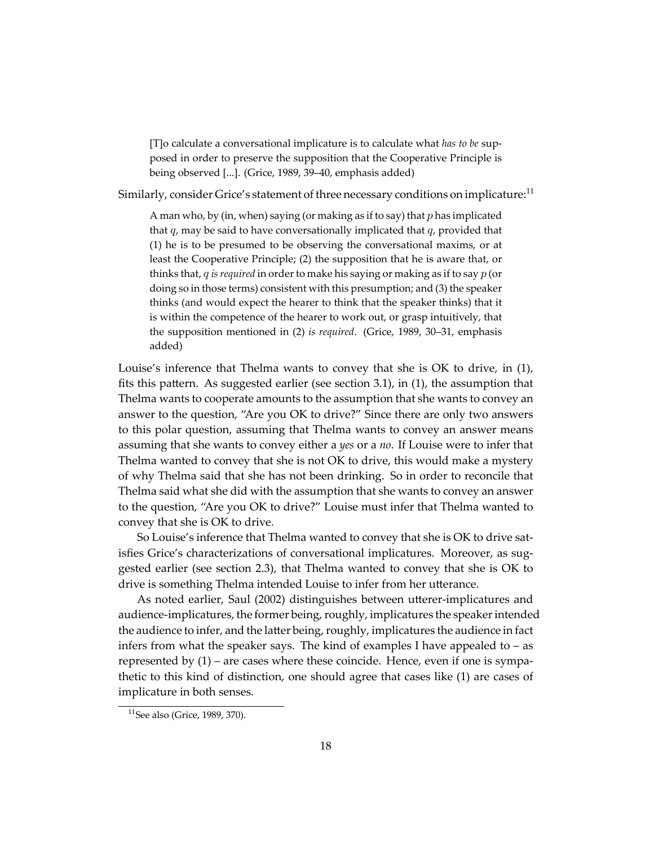[T]o calculate a conversational implicature is to calculate what *has to be* supposed in order to preserve the supposition that the Cooperative Principle is being observed [...]. (Grice, 1989, 39–40, emphasis added)

Similarly, consider Grice's statement of three necessary conditions on implicature: $11$ 

A man who, by (in, when) saying (or making as if to say) that *p* has implicated that *q*, may be said to have conversationally implicated that *q*, provided that (1) he is to be presumed to be observing the conversational maxims, or at least the Cooperative Principle; (2) the supposition that he is aware that, or thinks that, *q is required* in order to make his saying or making as if to say *p* (or doing so in those terms) consistent with this presumption; and (3) the speaker thinks (and would expect the hearer to think that the speaker thinks) that it is within the competence of the hearer to work out, or grasp intuitively, that the supposition mentioned in (2) *is required*. (Grice, 1989, 30–31, emphasis added)

Louise's inference that Thelma wants to convey that she is OK to drive, in (1), fits this pattern. As suggested earlier (see section 3.1), in  $(1)$ , the assumption that Thelma wants to cooperate amounts to the assumption that she wants to convey an answer to the question, "Are you OK to drive?" Since there are only two answers to this polar question, assuming that Thelma wants to convey an answer means assuming that she wants to convey either a *yes* or a *no*. If Louise were to infer that Thelma wanted to convey that she is not OK to drive, this would make a mystery of why Thelma said that she has not been drinking. So in order to reconcile that Thelma said what she did with the assumption that she wants to convey an answer to the question, "Are you OK to drive?" Louise must infer that Thelma wanted to convey that she is OK to drive.

So Louise's inference that Thelma wanted to convey that she is OK to drive satisfies Grice's characterizations of conversational implicatures. Moreover, as suggested earlier (see section 2.3), that Thelma wanted to convey that she is OK to drive is something Thelma intended Louise to infer from her utterance.

As noted earlier, Saul (2002) distinguishes between utterer-implicatures and audience-implicatures, the former being, roughly, implicatures the speaker intended the audience to infer, and the latter being, roughly, implicatures the audience in fact infers from what the speaker says. The kind of examples I have appealed to – as represented by (1) – are cases where these coincide. Hence, even if one is sympathetic to this kind of distinction, one should agree that cases like (1) are cases of implicature in both senses.

 $11$ See also (Grice, 1989, 370).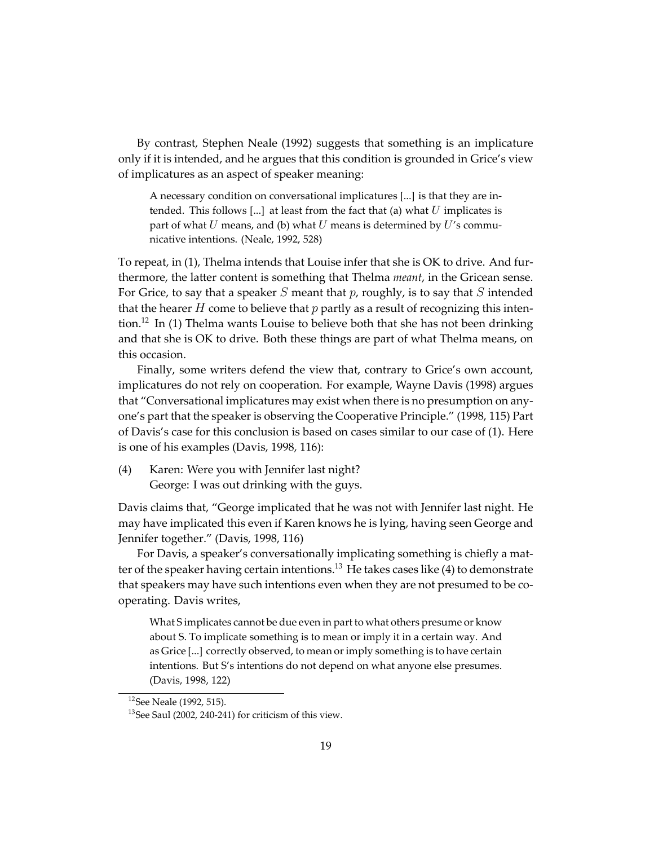By contrast, Stephen Neale (1992) suggests that something is an implicature only if it is intended, and he argues that this condition is grounded in Grice's view of implicatures as an aspect of speaker meaning:

A necessary condition on conversational implicatures [...] is that they are intended. This follows [...] at least from the fact that (a) what *U* implicates is part of what *U* means, and (b) what *U* means is determined by *U*'s communicative intentions. (Neale, 1992, 528)

To repeat, in (1), Thelma intends that Louise infer that she is OK to drive. And furthermore, the latter content is something that Thelma *meant*, in the Gricean sense. For Grice, to say that a speaker *S* meant that *p*, roughly, is to say that *S* intended that the hearer *H* come to believe that *p* partly as a result of recognizing this intention.<sup>12</sup> In (1) Thelma wants Louise to believe both that she has not been drinking and that she is OK to drive. Both these things are part of what Thelma means, on this occasion.

Finally, some writers defend the view that, contrary to Grice's own account, implicatures do not rely on cooperation. For example, Wayne Davis (1998) argues that "Conversational implicatures may exist when there is no presumption on anyone's part that the speaker is observing the Cooperative Principle." (1998, 115) Part of Davis's case for this conclusion is based on cases similar to our case of (1). Here is one of his examples (Davis, 1998, 116):

(4) Karen: Were you with Jennifer last night? George: I was out drinking with the guys.

Davis claims that, "George implicated that he was not with Jennifer last night. He may have implicated this even if Karen knows he is lying, having seen George and Jennifer together." (Davis, 1998, 116)

For Davis, a speaker's conversationally implicating something is chiefly a matter of the speaker having certain intentions.<sup>13</sup> He takes cases like (4) to demonstrate that speakers may have such intentions even when they are not presumed to be cooperating. Davis writes,

What S implicates cannot be due even in part to what others presume or know about S. To implicate something is to mean or imply it in a certain way. And as Grice [...] correctly observed, to mean or imply something is to have certain intentions. But S's intentions do not depend on what anyone else presumes. (Davis, 1998, 122)

<sup>&</sup>lt;sup>12</sup>See Neale (1992, 515).

 $13$ See Saul (2002, 240-241) for criticism of this view.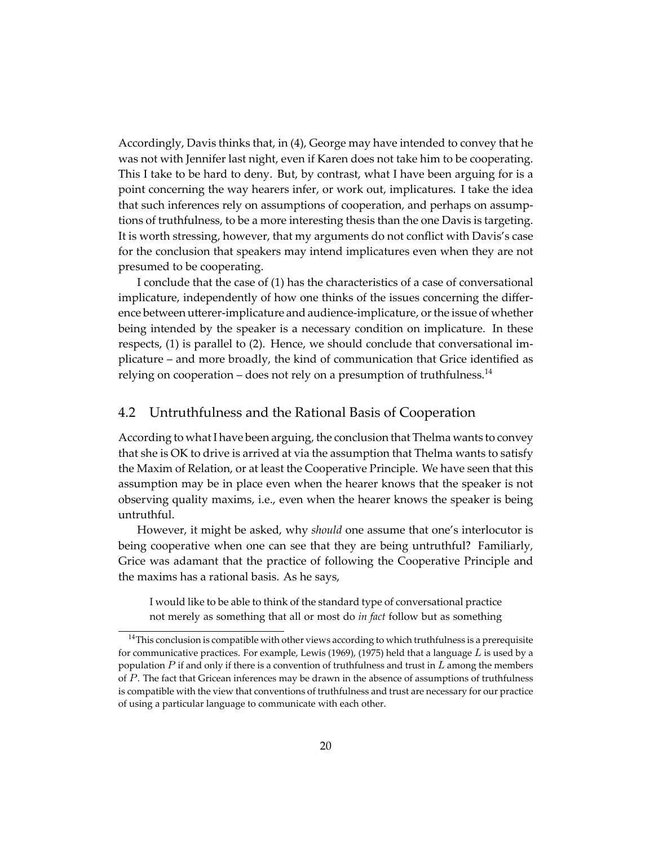Accordingly, Davis thinks that, in (4), George may have intended to convey that he was not with Jennifer last night, even if Karen does not take him to be cooperating. This I take to be hard to deny. But, by contrast, what I have been arguing for is a point concerning the way hearers infer, or work out, implicatures. I take the idea that such inferences rely on assumptions of cooperation, and perhaps on assumptions of truthfulness, to be a more interesting thesis than the one Davis is targeting. It is worth stressing, however, that my arguments do not conflict with Davis's case for the conclusion that speakers may intend implicatures even when they are not presumed to be cooperating.

I conclude that the case of (1) has the characteristics of a case of conversational implicature, independently of how one thinks of the issues concerning the difference between ufterer-implicature and audience-implicature, or the issue of whether being intended by the speaker is a necessary condition on implicature. In these respects, (1) is parallel to (2). Hence, we should conclude that conversational implicature – and more broadly, the kind of communication that Grice identified as relying on cooperation – does not rely on a presumption of truthfulness. $14$ 

### 4.2 Untruthfulness and the Rational Basis of Cooperation

According to what I have been arguing, the conclusion that Thelma wants to convey that she is OK to drive is arrived at via the assumption that Thelma wants to satisfy the Maxim of Relation, or at least the Cooperative Principle. We have seen that this assumption may be in place even when the hearer knows that the speaker is not observing quality maxims, i.e., even when the hearer knows the speaker is being untruthful.

However, it might be asked, why *should* one assume that one's interlocutor is being cooperative when one can see that they are being untruthful? Familiarly, Grice was adamant that the practice of following the Cooperative Principle and the maxims has a rational basis. As he says,

I would like to be able to think of the standard type of conversational practice not merely as something that all or most do *in fact* follow but as something

 $14$ This conclusion is compatible with other views according to which truthfulness is a prerequisite for communicative practices. For example, Lewis (1969), (1975) held that a language *L* is used by a population *P* if and only if there is a convention of truthfulness and trust in *L* among the members of *P*. The fact that Gricean inferences may be drawn in the absence of assumptions of truthfulness is compatible with the view that conventions of truthfulness and trust are necessary for our practice of using a particular language to communicate with each other.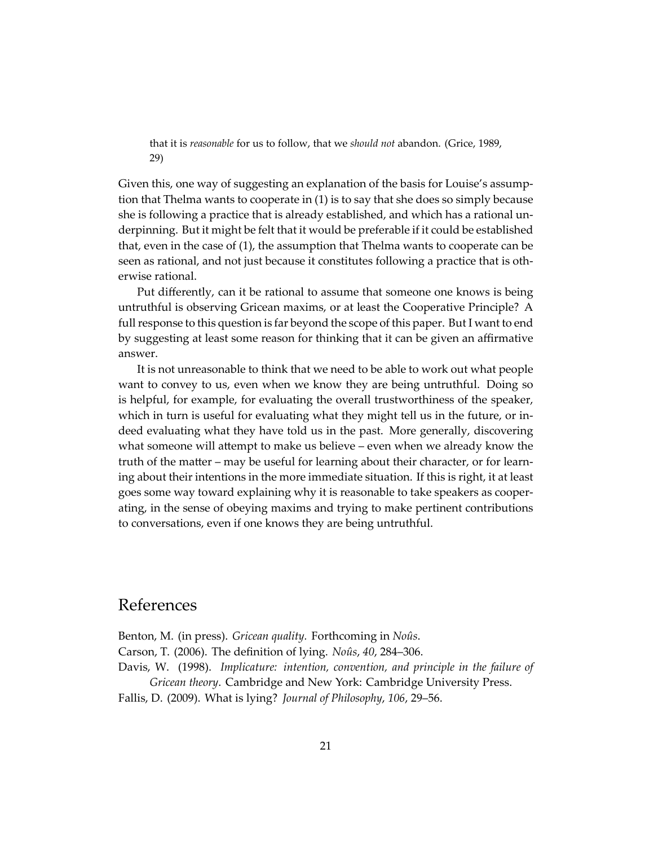that it is *reasonable* for us to follow, that we *should not* abandon. (Grice, 1989, 29)

Given this, one way of suggesting an explanation of the basis for Louise's assumption that Thelma wants to cooperate in (1) is to say that she does so simply because she is following a practice that is already established, and which has a rational underpinning. But it might be felt that it would be preferable if it could be established that, even in the case of (1), the assumption that Thelma wants to cooperate can be seen as rational, and not just because it constitutes following a practice that is otherwise rational.

Put differently, can it be rational to assume that someone one knows is being untruthful is observing Gricean maxims, or at least the Cooperative Principle? A full response to this question is far beyond the scope of this paper. But I want to end by suggesting at least some reason for thinking that it can be given an affirmative answer.

It is not unreasonable to think that we need to be able to work out what people want to convey to us, even when we know they are being untruthful. Doing so is helpful, for example, for evaluating the overall trustworthiness of the speaker, which in turn is useful for evaluating what they might tell us in the future, or indeed evaluating what they have told us in the past. More generally, discovering what someone will attempt to make us believe – even when we already know the truth of the matter – may be useful for learning about their character, or for learning about their intentions in the more immediate situation. If this is right, it at least goes some way toward explaining why it is reasonable to take speakers as cooperating, in the sense of obeying maxims and trying to make pertinent contributions to conversations, even if one knows they are being untruthful.

### References

Benton, M. (in press). *Gricean quality.* Forthcoming in *Noûs*.

Carson, T. (2006). The definition of lying. *Noûs*, *40*, 284–306.

Davis, W. (1998). *Implicature: intention, convention, and principle in the failure of Gricean theory*. Cambridge and New York: Cambridge University Press.

Fallis, D. (2009). What is lying? *Journal of Philosophy*, *106*, 29–56.